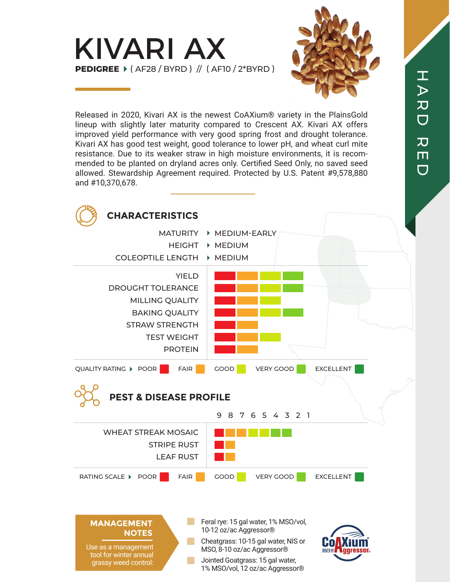



Released in 2020, Kivari AX is the newest CoAXium® variety in the PlainsGold lineup with slightly later maturity compared to Crescent AX. Kivari AX offers improved yield performance with very good spring frost and drought tolerance. Kivari AX has good test weight, good tolerance to lower pH, and wheat curl mite resistance. Due to its weaker straw in high moisture environments, it is recommended to be planted on dryland acres only. Certified Seed Only, no saved seed allowed. Stewardship Agreement required. Protected by U.S. Patent #9,578,880 and #10,370,678.